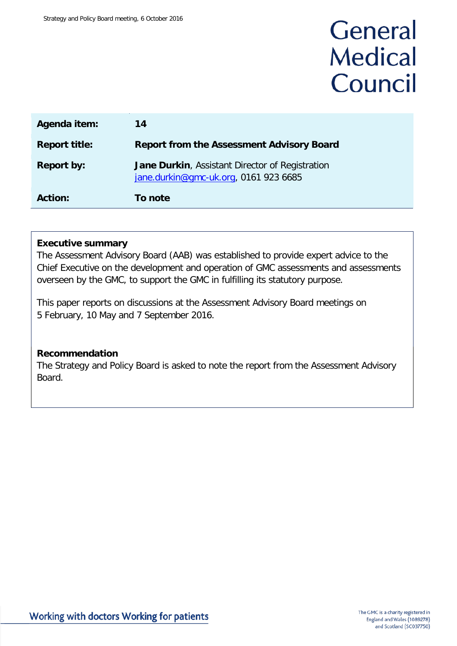# General **Medical** Council

| Agenda item:         | 14                                                                                              |
|----------------------|-------------------------------------------------------------------------------------------------|
| <b>Report title:</b> | <b>Report from the Assessment Advisory Board</b>                                                |
| <b>Report by:</b>    | <b>Jane Durkin, Assistant Director of Registration</b><br>jane.durkin@gmc-uk.org, 0161 923 6685 |
| <b>Action:</b>       | To note                                                                                         |

## **Executive summary**

The Assessment Advisory Board (AAB) was established to provide expert advice to the Chief Executive on the development and operation of GMC assessments and assessments overseen by the GMC, to support the GMC in fulfilling its statutory purpose.

This paper reports on discussions at the Assessment Advisory Board meetings on 5 February, 10 May and 7 September 2016.

## **Recommendation**

The Strategy and Policy Board is asked to note the report from the Assessment Advisory Board.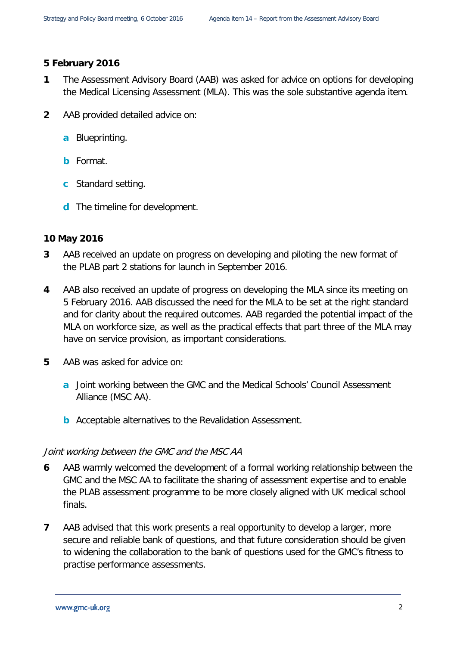#### **5 February 2016**

- **1** The Assessment Advisory Board (AAB) was asked for advice on options for developing the Medical Licensing Assessment (MLA). This was the sole substantive agenda item.
- **2** AAB provided detailed advice on:
	- **a** Blueprinting.
	- **b** Format.
	- **c** Standard setting.
	- **d** The timeline for development.

## **10 May 2016**

- **3** AAB received an update on progress on developing and piloting the new format of the PLAB part 2 stations for launch in September 2016.
- **4** AAB also received an update of progress on developing the MLA since its meeting on 5 February 2016. AAB discussed the need for the MLA to be set at the right standard and for clarity about the required outcomes. AAB regarded the potential impact of the MLA on workforce size, as well as the practical effects that part three of the MLA may have on service provision, as important considerations.
- **5** AAB was asked for advice on:
	- **a** Joint working between the GMC and the Medical Schools' Council Assessment Alliance (MSC AA).
	- **b** Acceptable alternatives to the Revalidation Assessment.

## Joint working between the GMC and the MSC AA

- **6** AAB warmly welcomed the development of a formal working relationship between the GMC and the MSC AA to facilitate the sharing of assessment expertise and to enable the PLAB assessment programme to be more closely aligned with UK medical school finals.
- **7** AAB advised that this work presents a real opportunity to develop a larger, more secure and reliable bank of questions, and that future consideration should be given to widening the collaboration to the bank of questions used for the GMC's fitness to practise performance assessments.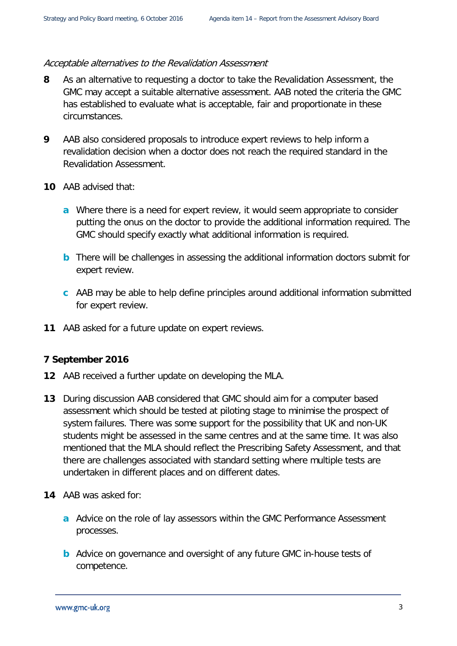#### Acceptable alternatives to the Revalidation Assessment

- **8** As an alternative to requesting a doctor to take the Revalidation Assessment, the GMC may accept a suitable alternative assessment. AAB noted the criteria the GMC has established to evaluate what is acceptable, fair and proportionate in these circumstances.
- **9** AAB also considered proposals to introduce expert reviews to help inform a revalidation decision when a doctor does not reach the required standard in the Revalidation Assessment.
- **10** AAB advised that:
	- **a** Where there is a need for expert review, it would seem appropriate to consider putting the onus on the doctor to provide the additional information required. The GMC should specify exactly what additional information is required.
	- **b** There will be challenges in assessing the additional information doctors submit for expert review.
	- **c** AAB may be able to help define principles around additional information submitted for expert review.
- **11** AAB asked for a future update on expert reviews.

## **7 September 2016**

- **12** AAB received a further update on developing the MLA.
- **13** During discussion AAB considered that GMC should aim for a computer based assessment which should be tested at piloting stage to minimise the prospect of system failures. There was some support for the possibility that UK and non-UK students might be assessed in the same centres and at the same time. It was also mentioned that the MLA should reflect the Prescribing Safety Assessment, and that there are challenges associated with standard setting where multiple tests are undertaken in different places and on different dates.
- **14** AAB was asked for:
	- **a** Advice on the role of lay assessors within the GMC Performance Assessment processes.
	- **b** Advice on governance and oversight of any future GMC in-house tests of competence.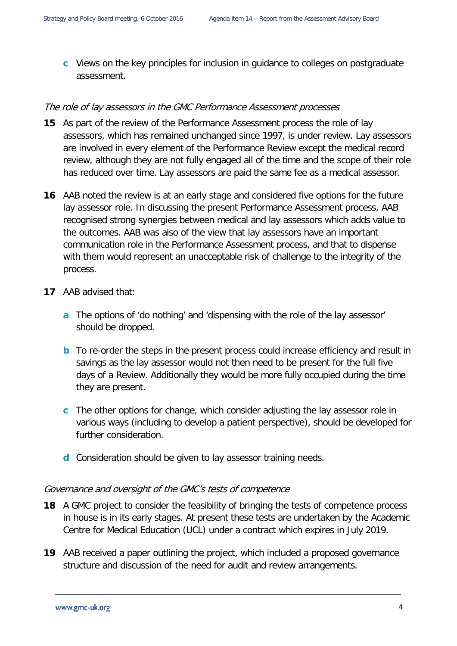**c** Views on the key principles for inclusion in guidance to colleges on postgraduate assessment.

## The role of lay assessors in the GMC Performance Assessment processes

- **15** As part of the review of the Performance Assessment process the role of lay assessors, which has remained unchanged since 1997, is under review. Lay assessors are involved in every element of the Performance Review except the medical record review, although they are not fully engaged all of the time and the scope of their role has reduced over time. Lay assessors are paid the same fee as a medical assessor.
- **16** AAB noted the review is at an early stage and considered five options for the future lay assessor role. In discussing the present Performance Assessment process, AAB recognised strong synergies between medical and lay assessors which adds value to the outcomes. AAB was also of the view that lay assessors have an important communication role in the Performance Assessment process, and that to dispense with them would represent an unacceptable risk of challenge to the integrity of the process.
- **17** AAB advised that:
	- **a** The options of 'do nothing' and 'dispensing with the role of the lay assessor' should be dropped.
	- **b** To re-order the steps in the present process could increase efficiency and result in savings as the lay assessor would not then need to be present for the full five days of a Review. Additionally they would be more fully occupied during the time they are present.
	- **c** The other options for change, which consider adjusting the lay assessor role in various ways (including to develop a patient perspective), should be developed for further consideration.
	- **d** Consideration should be given to lay assessor training needs.

## Governance and oversight of the GMC's tests of competence

- **18** A GMC project to consider the feasibility of bringing the tests of competence process in house is in its early stages. At present these tests are undertaken by the Academic Centre for Medical Education (UCL) under a contract which expires in July 2019.
- **19** AAB received a paper outlining the project, which included a proposed governance structure and discussion of the need for audit and review arrangements.